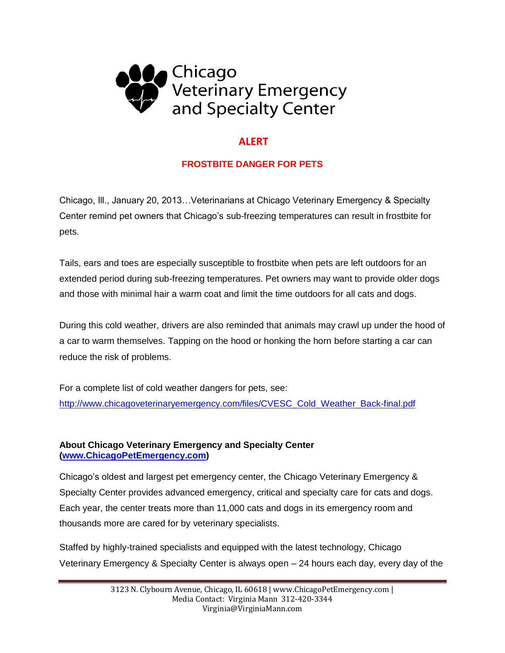

## **ALERT**

## **FROSTBITE DANGER FOR PETS**

Chicago, Ill., January 20, 2013…Veterinarians at Chicago Veterinary Emergency & Specialty Center remind pet owners that Chicago's sub-freezing temperatures can result in frostbite for pets.

Tails, ears and toes are especially susceptible to frostbite when pets are left outdoors for an extended period during sub-freezing temperatures. Pet owners may want to provide older dogs and those with minimal hair a warm coat and limit the time outdoors for all cats and dogs.

During this cold weather, drivers are also reminded that animals may crawl up under the hood of a car to warm themselves. Tapping on the hood or honking the horn before starting a car can reduce the risk of problems.

For a complete list of cold weather dangers for pets, see: [http://www.chicagoveterinaryemergency.com/files/CVESC\\_Cold\\_Weather\\_Back-final.pdf](http://www.chicagoveterinaryemergency.com/files/CVESC_Cold_Weather_Back-final.pdf)

## **About Chicago Veterinary Emergency and Specialty Center [\(www.ChicagoPetEmergency.com\)](http://www.chicagopetemergency.com/)**

Chicago's oldest and largest pet emergency center, the Chicago Veterinary Emergency & Specialty Center provides advanced emergency, critical and specialty care for cats and dogs. Each year, the center treats more than 11,000 cats and dogs in its emergency room and thousands more are cared for by veterinary specialists.

Staffed by highly-trained specialists and equipped with the latest technology, Chicago Veterinary Emergency & Specialty Center is always open – 24 hours each day, every day of the